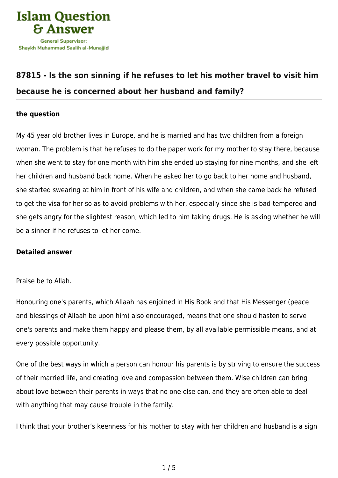

## **[87815 - Is the son sinning if he refuses to let his mother travel to visit him](https://islamqa.info/en/answers/87815/is-the-son-sinning-if-he-refuses-to-let-his-mother-travel-to-visit-him-because-he-is-concerned-about-her-husband-and-family) [because he is concerned about her husband and family?](https://islamqa.info/en/answers/87815/is-the-son-sinning-if-he-refuses-to-let-his-mother-travel-to-visit-him-because-he-is-concerned-about-her-husband-and-family)**

## **the question**

My 45 year old brother lives in Europe, and he is married and has two children from a foreign woman. The problem is that he refuses to do the paper work for my mother to stay there, because when she went to stay for one month with him she ended up staying for nine months, and she left her children and husband back home. When he asked her to go back to her home and husband, she started swearing at him in front of his wife and children, and when she came back he refused to get the visa for her so as to avoid problems with her, especially since she is bad-tempered and she gets angry for the slightest reason, which led to him taking drugs. He is asking whether he will be a sinner if he refuses to let her come.

## **Detailed answer**

## Praise be to Allah.

Honouring one's parents, which Allaah has enjoined in His Book and that His Messenger (peace and blessings of Allaah be upon him) also encouraged, means that one should hasten to serve one's parents and make them happy and please them, by all available permissible means, and at every possible opportunity.

One of the best ways in which a person can honour his parents is by striving to ensure the success of their married life, and creating love and compassion between them. Wise children can bring about love between their parents in ways that no one else can, and they are often able to deal with anything that may cause trouble in the family.

I think that your brother's keenness for his mother to stay with her children and husband is a sign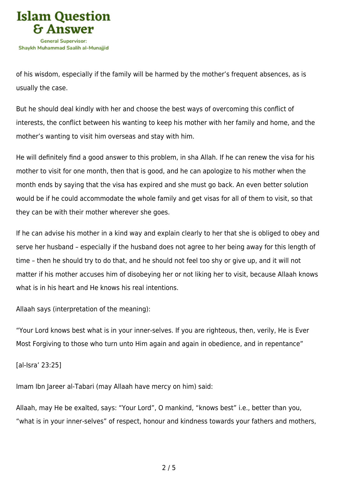

of his wisdom, especially if the family will be harmed by the mother's frequent absences, as is usually the case.

But he should deal kindly with her and choose the best ways of overcoming this conflict of interests, the conflict between his wanting to keep his mother with her family and home, and the mother's wanting to visit him overseas and stay with him.

He will definitely find a good answer to this problem, in sha Allah. If he can renew the visa for his mother to visit for one month, then that is good, and he can apologize to his mother when the month ends by saying that the visa has expired and she must go back. An even better solution would be if he could accommodate the whole family and get visas for all of them to visit, so that they can be with their mother wherever she goes.

If he can advise his mother in a kind way and explain clearly to her that she is obliged to obey and serve her husband – especially if the husband does not agree to her being away for this length of time – then he should try to do that, and he should not feel too shy or give up, and it will not matter if his mother accuses him of disobeying her or not liking her to visit, because Allaah knows what is in his heart and He knows his real intentions.

Allaah says (interpretation of the meaning):

"Your Lord knows best what is in your inner‑selves. If you are righteous, then, verily, He is Ever Most Forgiving to those who turn unto Him again and again in obedience, and in repentance"

[al-Isra' 23:25]

Imam Ibn Jareer al-Tabari (may Allaah have mercy on him) said:

Allaah, may He be exalted, says: "Your Lord", O mankind, "knows best" i.e., better than you, "what is in your inner‑selves" of respect, honour and kindness towards your fathers and mothers,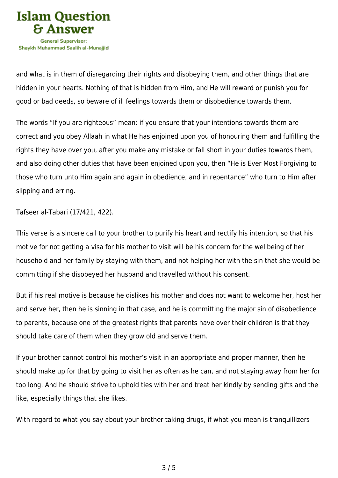

and what is in them of disregarding their rights and disobeying them, and other things that are hidden in your hearts. Nothing of that is hidden from Him, and He will reward or punish you for good or bad deeds, so beware of ill feelings towards them or disobedience towards them.

The words "If you are righteous" mean: if you ensure that your intentions towards them are correct and you obey Allaah in what He has enjoined upon you of honouring them and fulfilling the rights they have over you, after you make any mistake or fall short in your duties towards them, and also doing other duties that have been enjoined upon you, then "He is Ever Most Forgiving to those who turn unto Him again and again in obedience, and in repentance" who turn to Him after slipping and erring.

Tafseer al-Tabari (17/421, 422).

This verse is a sincere call to your brother to purify his heart and rectify his intention, so that his motive for not getting a visa for his mother to visit will be his concern for the wellbeing of her household and her family by staying with them, and not helping her with the sin that she would be committing if she disobeyed her husband and travelled without his consent.

But if his real motive is because he dislikes his mother and does not want to welcome her, host her and serve her, then he is sinning in that case, and he is committing the major sin of disobedience to parents, because one of the greatest rights that parents have over their children is that they should take care of them when they grow old and serve them.

If your brother cannot control his mother's visit in an appropriate and proper manner, then he should make up for that by going to visit her as often as he can, and not staying away from her for too long. And he should strive to uphold ties with her and treat her kindly by sending gifts and the like, especially things that she likes.

With regard to what you say about your brother taking drugs, if what you mean is tranquillizers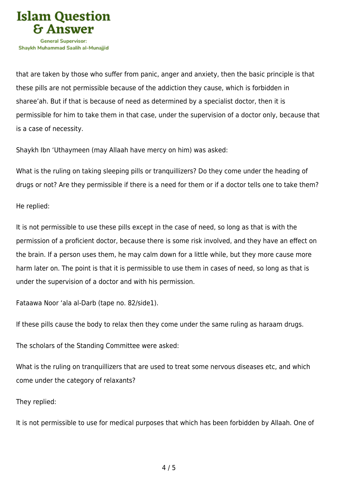

that are taken by those who suffer from panic, anger and anxiety, then the basic principle is that these pills are not permissible because of the addiction they cause, which is forbidden in sharee'ah. But if that is because of need as determined by a specialist doctor, then it is permissible for him to take them in that case, under the supervision of a doctor only, because that is a case of necessity.

Shaykh Ibn 'Uthaymeen (may Allaah have mercy on him) was asked:

What is the ruling on taking sleeping pills or tranquillizers? Do they come under the heading of drugs or not? Are they permissible if there is a need for them or if a doctor tells one to take them?

He replied:

It is not permissible to use these pills except in the case of need, so long as that is with the permission of a proficient doctor, because there is some risk involved, and they have an effect on the brain. If a person uses them, he may calm down for a little while, but they more cause more harm later on. The point is that it is permissible to use them in cases of need, so long as that is under the supervision of a doctor and with his permission.

Fataawa Noor 'ala al-Darb (tape no. 82/side1).

If these pills cause the body to relax then they come under the same ruling as haraam drugs.

The scholars of the Standing Committee were asked:

What is the ruling on tranquillizers that are used to treat some nervous diseases etc, and which come under the category of relaxants?

They replied:

It is not permissible to use for medical purposes that which has been forbidden by Allaah. One of